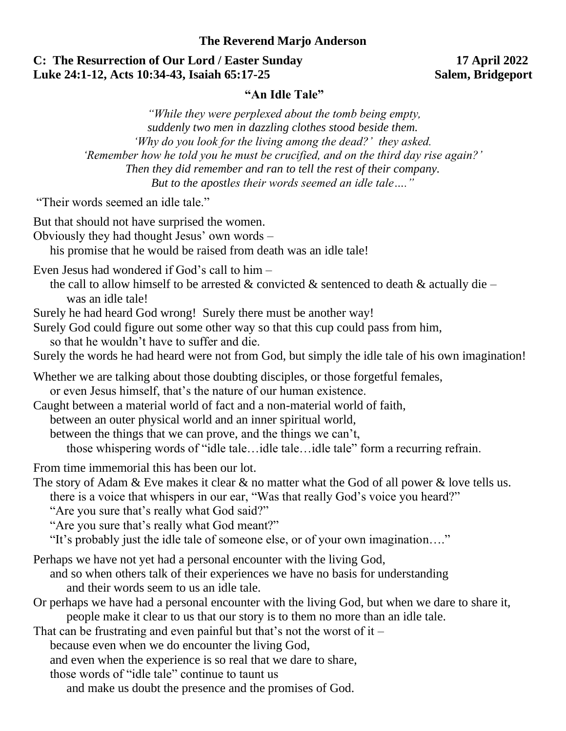### **The Reverend Marjo Anderson**

## **C: The Resurrection of Our Lord / Easter Sunday 17 April 2022 Luke 24:1-12, Acts 10:34-43, Isaiah 65:17-25 Salem, Bridgeport**

## **"An Idle Tale"**

*"While they were perplexed about the tomb being empty, suddenly two men in dazzling clothes stood beside them. 'Why do you look for the living among the dead?' they asked. 'Remember how he told you he must be crucified, and on the third day rise again?' Then they did remember and ran to tell the rest of their company. But to the apostles their words seemed an idle tale…."*

"Their words seemed an idle tale."

| But that should not have surprised the women.<br>Obviously they had thought Jesus' own words -<br>his promise that he would be raised from death was an idle tale!                                                                                                                                                                                                                                                                                                                                                                                                                                                                                                                                            |
|---------------------------------------------------------------------------------------------------------------------------------------------------------------------------------------------------------------------------------------------------------------------------------------------------------------------------------------------------------------------------------------------------------------------------------------------------------------------------------------------------------------------------------------------------------------------------------------------------------------------------------------------------------------------------------------------------------------|
| Even Jesus had wondered if God's call to him –<br>the call to allow himself to be arrested & convicted & sentenced to death & actually die –<br>was an idle tale!<br>Surely he had heard God wrong! Surely there must be another way!<br>Surely God could figure out some other way so that this cup could pass from him,                                                                                                                                                                                                                                                                                                                                                                                     |
| so that he wouldn't have to suffer and die.<br>Surely the words he had heard were not from God, but simply the idle tale of his own imagination!                                                                                                                                                                                                                                                                                                                                                                                                                                                                                                                                                              |
| Whether we are talking about those doubting disciples, or those forgetful females,<br>or even Jesus himself, that's the nature of our human existence.<br>Caught between a material world of fact and a non-material world of faith,<br>between an outer physical world and an inner spiritual world,<br>between the things that we can prove, and the things we can't,<br>those whispering words of "idle taleidle taleidle tale" form a recurring refrain.                                                                                                                                                                                                                                                  |
| From time immemorial this has been our lot.<br>The story of Adam & Eve makes it clear & no matter what the God of all power & love tells us.<br>there is a voice that whispers in our ear, "Was that really God's voice you heard?"<br>"Are you sure that's really what God said?"<br>"Are you sure that's really what God meant?"<br>"It's probably just the idle tale of someone else, or of your own imagination"                                                                                                                                                                                                                                                                                          |
| Perhaps we have not yet had a personal encounter with the living God,<br>and so when others talk of their experiences we have no basis for understanding<br>and their words seem to us an idle tale.<br>Or perhaps we have had a personal encounter with the living God, but when we dare to share it,<br>people make it clear to us that our story is to them no more than an idle tale.<br>That can be frustrating and even painful but that's not the worst of it $-$<br>because even when we do encounter the living God,<br>and even when the experience is so real that we dare to share,<br>those words of "idle tale" continue to taunt us<br>and make us doubt the presence and the promises of God. |
|                                                                                                                                                                                                                                                                                                                                                                                                                                                                                                                                                                                                                                                                                                               |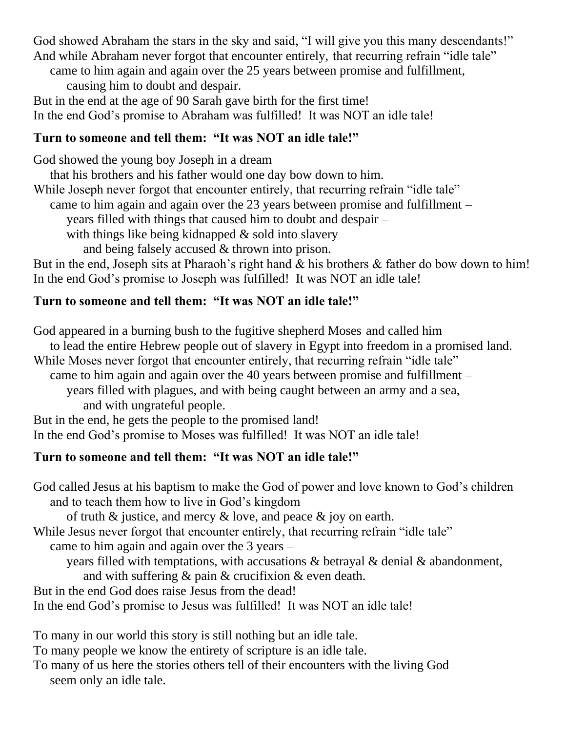God showed Abraham the stars in the sky and said, "I will give you this many descendants!" And while Abraham never forgot that encounter entirely, that recurring refrain "idle tale"

came to him again and again over the 25 years between promise and fulfillment, causing him to doubt and despair.

But in the end at the age of 90 Sarah gave birth for the first time! In the end God's promise to Abraham was fulfilled! It was NOT an idle tale!

## **Turn to someone and tell them: "It was NOT an idle tale!"**

God showed the young boy Joseph in a dream

that his brothers and his father would one day bow down to him.

While Joseph never forgot that encounter entirely, that recurring refrain "idle tale"

came to him again and again over the 23 years between promise and fulfillment –

years filled with things that caused him to doubt and despair –

with things like being kidnapped & sold into slavery

and being falsely accused & thrown into prison.

But in the end, Joseph sits at Pharaoh's right hand & his brothers & father do bow down to him! In the end God's promise to Joseph was fulfilled! It was NOT an idle tale!

# **Turn to someone and tell them: "It was NOT an idle tale!"**

God appeared in a burning bush to the fugitive shepherd Moses and called him to lead the entire Hebrew people out of slavery in Egypt into freedom in a promised land. While Moses never forgot that encounter entirely, that recurring refrain "idle tale" came to him again and again over the 40 years between promise and fulfillment – years filled with plagues, and with being caught between an army and a sea, and with ungrateful people. But in the end, he gets the people to the promised land! In the end God's promise to Moses was fulfilled! It was NOT an idle tale!

# **Turn to someone and tell them: "It was NOT an idle tale!"**

God called Jesus at his baptism to make the God of power and love known to God's children and to teach them how to live in God's kingdom

of truth & justice, and mercy & love, and peace & joy on earth.

While Jesus never forgot that encounter entirely, that recurring refrain "idle tale"

came to him again and again over the 3 years –

years filled with temptations, with accusations & betrayal & denial & abandonment,

and with suffering & pain & crucifixion & even death.

But in the end God does raise Jesus from the dead!

In the end God's promise to Jesus was fulfilled! It was NOT an idle tale!

To many in our world this story is still nothing but an idle tale.

To many people we know the entirety of scripture is an idle tale.

To many of us here the stories others tell of their encounters with the living God seem only an idle tale.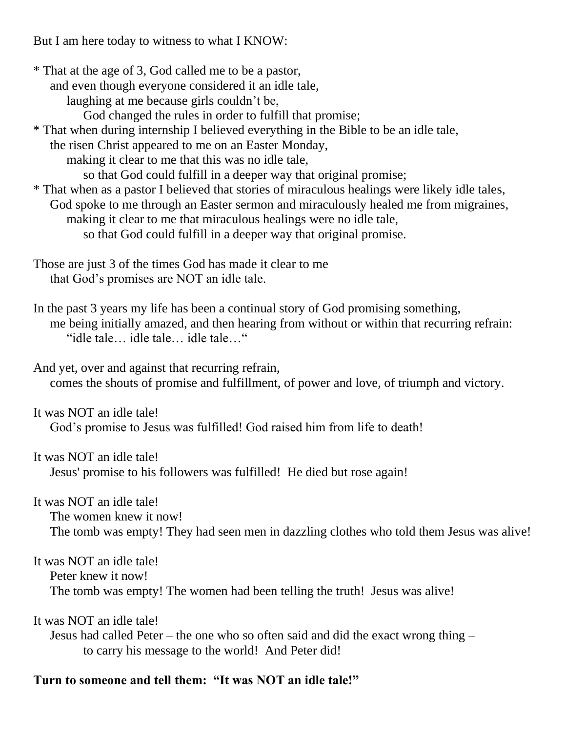But I am here today to witness to what I KNOW:

\* That at the age of 3, God called me to be a pastor, and even though everyone considered it an idle tale, laughing at me because girls couldn't be, God changed the rules in order to fulfill that promise; \* That when during internship I believed everything in the Bible to be an idle tale, the risen Christ appeared to me on an Easter Monday, making it clear to me that this was no idle tale, so that God could fulfill in a deeper way that original promise;

\* That when as a pastor I believed that stories of miraculous healings were likely idle tales, God spoke to me through an Easter sermon and miraculously healed me from migraines, making it clear to me that miraculous healings were no idle tale, so that God could fulfill in a deeper way that original promise.

Those are just 3 of the times God has made it clear to me that God's promises are NOT an idle tale.

In the past 3 years my life has been a continual story of God promising something, me being initially amazed, and then hearing from without or within that recurring refrain: "idle tale… idle tale… idle tale…"

And yet, over and against that recurring refrain, comes the shouts of promise and fulfillment, of power and love, of triumph and victory.

It was NOT an idle tale! God's promise to Jesus was fulfilled! God raised him from life to death!

It was NOT an idle tale! Jesus' promise to his followers was fulfilled! He died but rose again!

It was NOT an idle tale!

The women knew it now!

The tomb was empty! They had seen men in dazzling clothes who told them Jesus was alive!

It was NOT an idle tale!

Peter knew it now!

The tomb was empty! The women had been telling the truth! Jesus was alive!

It was NOT an idle tale!

Jesus had called Peter – the one who so often said and did the exact wrong thing – to carry his message to the world! And Peter did!

## **Turn to someone and tell them: "It was NOT an idle tale!"**